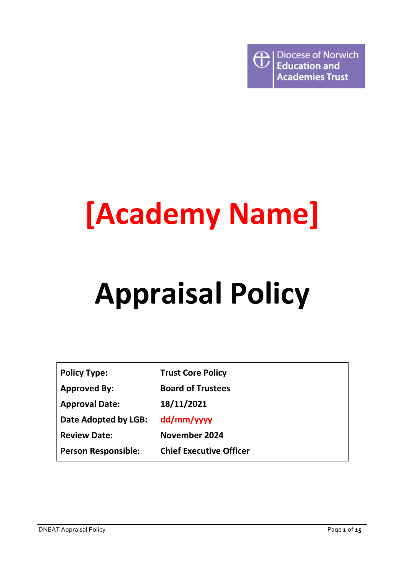

# **[Academy Name]**

# **Appraisal Policy**

| <b>Policy Type:</b>        | <b>Trust Core Policy</b>       |
|----------------------------|--------------------------------|
| <b>Approved By:</b>        | <b>Board of Trustees</b>       |
| <b>Approval Date:</b>      | 18/11/2021                     |
| Date Adopted by LGB:       | dd/mm/yyyy                     |
| <b>Review Date:</b>        | November 2024                  |
| <b>Person Responsible:</b> | <b>Chief Executive Officer</b> |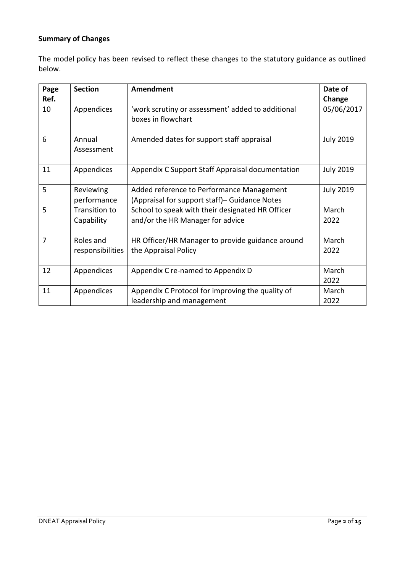# **Summary of Changes**

The model policy has been revised to reflect these changes to the statutory guidance as outlined below.

| Page           | <b>Section</b>                     | Amendment                                                                                   | Date of          |
|----------------|------------------------------------|---------------------------------------------------------------------------------------------|------------------|
| Ref.           |                                    |                                                                                             | Change           |
| 10             | Appendices                         | 'work scrutiny or assessment' added to additional<br>boxes in flowchart                     | 05/06/2017       |
| 6              | Annual<br>Assessment               | Amended dates for support staff appraisal                                                   | <b>July 2019</b> |
| 11             | Appendices                         | Appendix C Support Staff Appraisal documentation                                            | <b>July 2019</b> |
| 5              | Reviewing<br>performance           | Added reference to Performance Management<br>(Appraisal for support staff) – Guidance Notes | <b>July 2019</b> |
| 5              | <b>Transition to</b><br>Capability | School to speak with their designated HR Officer<br>and/or the HR Manager for advice        | March<br>2022    |
| $\overline{7}$ | Roles and<br>responsibilities      | HR Officer/HR Manager to provide guidance around<br>the Appraisal Policy                    | March<br>2022    |
| 12             | Appendices                         | Appendix C re-named to Appendix D                                                           | March<br>2022    |
| 11             | Appendices                         | Appendix C Protocol for improving the quality of<br>leadership and management               | March<br>2022    |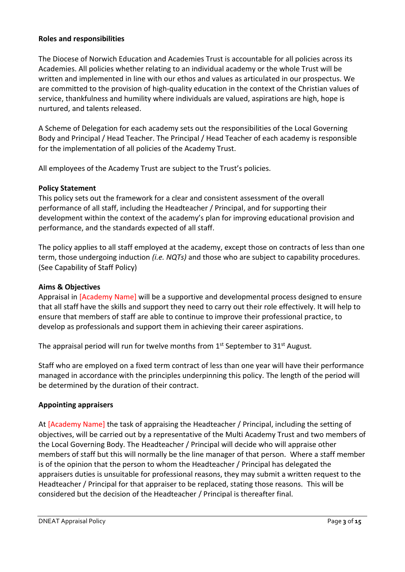#### **Roles and responsibilities**

The Diocese of Norwich Education and Academies Trust is accountable for all policies across its Academies. All policies whether relating to an individual academy or the whole Trust will be written and implemented in line with our ethos and values as articulated in our prospectus. We are committed to the provision of high-quality education in the context of the Christian values of service, thankfulness and humility where individuals are valued, aspirations are high, hope is nurtured, and talents released.

A Scheme of Delegation for each academy sets out the responsibilities of the Local Governing Body and Principal / Head Teacher. The Principal / Head Teacher of each academy is responsible for the implementation of all policies of the Academy Trust.

All employees of the Academy Trust are subject to the Trust's policies.

#### **Policy Statement**

This policy sets out the framework for a clear and consistent assessment of the overall performance of all staff, including the Headteacher / Principal, and for supporting their development within the context of the academy's plan for improving educational provision and performance, and the standards expected of all staff.

The policy applies to all staff employed at the academy, except those on contracts of less than one term, those undergoing induction *(i.e. NQTs)* and those who are subject to capability procedures. (See Capability of Staff Policy)

#### **Aims & Objectives**

Appraisal in [Academy Name] will be a supportive and developmental process designed to ensure that all staff have the skills and support they need to carry out their role effectively. It will help to ensure that members of staff are able to continue to improve their professional practice, to develop as professionals and support them in achieving their career aspirations.

The appraisal period will run for twelve months from 1<sup>st</sup> September to 31<sup>st</sup> August.

Staff who are employed on a fixed term contract of less than one year will have their performance managed in accordance with the principles underpinning this policy. The length of the period will be determined by the duration of their contract.

#### **Appointing appraisers**

At [Academy Name] the task of appraising the Headteacher / Principal, including the setting of objectives, will be carried out by a representative of the Multi Academy Trust and two members of the Local Governing Body. The Headteacher / Principal will decide who will appraise other members of staff but this will normally be the line manager of that person. Where a staff member is of the opinion that the person to whom the Headteacher / Principal has delegated the appraisers duties is unsuitable for professional reasons, they may submit a written request to the Headteacher / Principal for that appraiser to be replaced, stating those reasons. This will be considered but the decision of the Headteacher / Principal is thereafter final.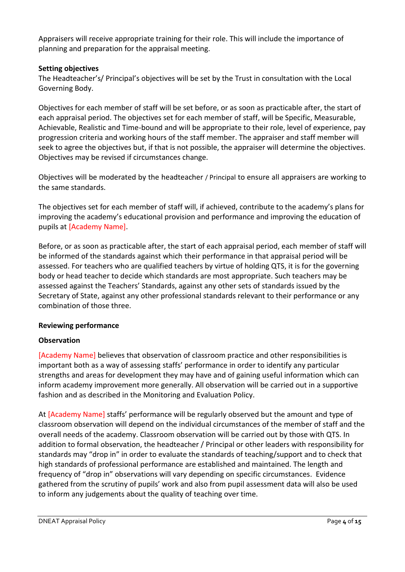Appraisers will receive appropriate training for their role. This will include the importance of planning and preparation for the appraisal meeting.

# **Setting objectives**

The Headteacher's/ Principal's objectives will be set by the Trust in consultation with the Local Governing Body.

Objectives for each member of staff will be set before, or as soon as practicable after, the start of each appraisal period. The objectives set for each member of staff, will be Specific, Measurable, Achievable, Realistic and Time-bound and will be appropriate to their role, level of experience, pay progression criteria and working hours of the staff member. The appraiser and staff member will seek to agree the objectives but, if that is not possible, the appraiser will determine the objectives. Objectives may be revised if circumstances change.

Objectives will be moderated by the headteacher / Principal to ensure all appraisers are working to the same standards.

The objectives set for each member of staff will, if achieved, contribute to the academy's plans for improving the academy's educational provision and performance and improving the education of pupils at [Academy Name].

Before, or as soon as practicable after, the start of each appraisal period, each member of staff will be informed of the standards against which their performance in that appraisal period will be assessed. For teachers who are qualified teachers by virtue of holding QTS, it is for the governing body or head teacher to decide which standards are most appropriate. Such teachers may be assessed against the Teachers' Standards, against any other sets of standards issued by the Secretary of State, against any other professional standards relevant to their performance or any combination of those three.

# **Reviewing performance**

# **Observation**

[Academy Name] believes that observation of classroom practice and other responsibilities is important both as a way of assessing staffs' performance in order to identify any particular strengths and areas for development they may have and of gaining useful information which can inform academy improvement more generally. All observation will be carried out in a supportive fashion and as described in the Monitoring and Evaluation Policy.

At [Academy Name] staffs' performance will be regularly observed but the amount and type of classroom observation will depend on the individual circumstances of the member of staff and the overall needs of the academy. Classroom observation will be carried out by those with QTS. In addition to formal observation, the headteacher / Principal or other leaders with responsibility for standards may "drop in" in order to evaluate the standards of teaching/support and to check that high standards of professional performance are established and maintained. The length and frequency of "drop in" observations will vary depending on specific circumstances. Evidence gathered from the scrutiny of pupils' work and also from pupil assessment data will also be used to inform any judgements about the quality of teaching over time.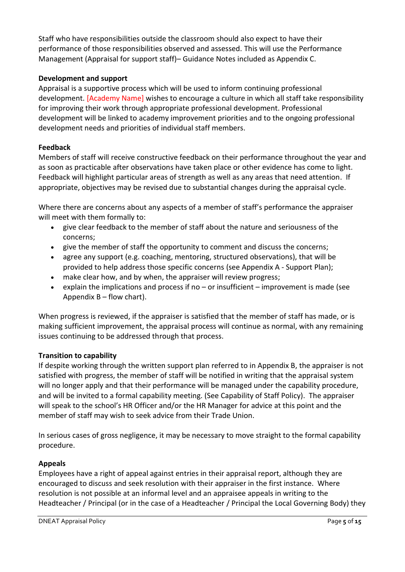Staff who have responsibilities outside the classroom should also expect to have their performance of those responsibilities observed and assessed. This will use the Performance Management (Appraisal for support staff)– Guidance Notes included as Appendix C.

# **Development and support**

Appraisal is a supportive process which will be used to inform continuing professional development. [Academy Name] wishes to encourage a culture in which all staff take responsibility for improving their work through appropriate professional development. Professional development will be linked to academy improvement priorities and to the ongoing professional development needs and priorities of individual staff members.

# **Feedback**

Members of staff will receive constructive feedback on their performance throughout the year and as soon as practicable after observations have taken place or other evidence has come to light. Feedback will highlight particular areas of strength as well as any areas that need attention. If appropriate, objectives may be revised due to substantial changes during the appraisal cycle.

Where there are concerns about any aspects of a member of staff's performance the appraiser will meet with them formally to:

- give clear feedback to the member of staff about the nature and seriousness of the concerns;
- give the member of staff the opportunity to comment and discuss the concerns;
- agree any support (e.g. coaching, mentoring, structured observations), that will be provided to help address those specific concerns (see Appendix A - Support Plan);
- make clear how, and by when, the appraiser will review progress;
- explain the implications and process if no or insufficient improvement is made (see Appendix  $B - flow$  chart).

When progress is reviewed, if the appraiser is satisfied that the member of staff has made, or is making sufficient improvement, the appraisal process will continue as normal, with any remaining issues continuing to be addressed through that process.

# **Transition to capability**

If despite working through the written support plan referred to in Appendix B, the appraiser is not satisfied with progress, the member of staff will be notified in writing that the appraisal system will no longer apply and that their performance will be managed under the capability procedure, and will be invited to a formal capability meeting. (See Capability of Staff Policy). The appraiser will speak to the school's HR Officer and/or the HR Manager for advice at this point and the member of staff may wish to seek advice from their Trade Union.

In serious cases of gross negligence, it may be necessary to move straight to the formal capability procedure.

# **Appeals**

Employees have a right of appeal against entries in their appraisal report, although they are encouraged to discuss and seek resolution with their appraiser in the first instance. Where resolution is not possible at an informal level and an appraisee appeals in writing to the Headteacher / Principal (or in the case of a Headteacher / Principal the Local Governing Body) they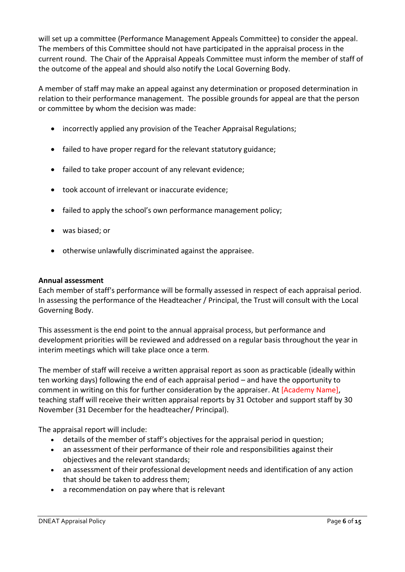will set up a committee (Performance Management Appeals Committee) to consider the appeal. The members of this Committee should not have participated in the appraisal process in the current round. The Chair of the Appraisal Appeals Committee must inform the member of staff of the outcome of the appeal and should also notify the Local Governing Body.

A member of staff may make an appeal against any determination or proposed determination in relation to their performance management. The possible grounds for appeal are that the person or committee by whom the decision was made:

- incorrectly applied any provision of the Teacher Appraisal Regulations;
- failed to have proper regard for the relevant statutory guidance;
- failed to take proper account of any relevant evidence;
- took account of irrelevant or inaccurate evidence;
- failed to apply the school's own performance management policy;
- was biased; or
- otherwise unlawfully discriminated against the appraisee.

#### **Annual assessment**

Each member of staff's performance will be formally assessed in respect of each appraisal period. In assessing the performance of the Headteacher / Principal, the Trust will consult with the Local Governing Body.

This assessment is the end point to the annual appraisal process, but performance and development priorities will be reviewed and addressed on a regular basis throughout the year in interim meetings which will take place once a term*.*

The member of staff will receive a written appraisal report as soon as practicable (ideally within ten working days) following the end of each appraisal period – and have the opportunity to comment in writing on this for further consideration by the appraiser. At [Academy Name], teaching staff will receive their written appraisal reports by 31 October and support staff by 30 November (31 December for the headteacher/ Principal).

The appraisal report will include:

- details of the member of staff's objectives for the appraisal period in question;
- an assessment of their performance of their role and responsibilities against their objectives and the relevant standards;
- an assessment of their professional development needs and identification of any action that should be taken to address them;
- a recommendation on pay where that is relevant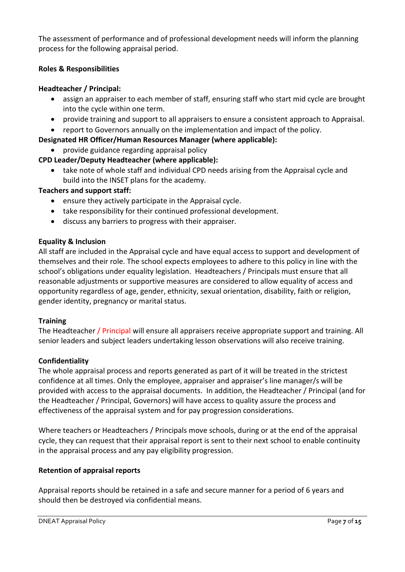The assessment of performance and of professional development needs will inform the planning process for the following appraisal period.

#### **Roles & Responsibilities**

#### **Headteacher / Principal:**

- assign an appraiser to each member of staff, ensuring staff who start mid cycle are brought into the cycle within one term.
- provide training and support to all appraisers to ensure a consistent approach to Appraisal.
- report to Governors annually on the implementation and impact of the policy.

# **Designated HR Officer/Human Resources Manager (where applicable):**

• provide guidance regarding appraisal policy

# **CPD Leader/Deputy Headteacher (where applicable):**

• take note of whole staff and individual CPD needs arising from the Appraisal cycle and build into the INSET plans for the academy.

#### **Teachers and support staff:**

- ensure they actively participate in the Appraisal cycle.
- take responsibility for their continued professional development.
- discuss any barriers to progress with their appraiser.

#### **Equality & Inclusion**

All staff are included in the Appraisal cycle and have equal access to support and development of themselves and their role. The school expects employees to adhere to this policy in line with the school's obligations under equality legislation. Headteachers / Principals must ensure that all reasonable adjustments or supportive measures are considered to allow equality of access and opportunity regardless of age, gender, ethnicity, sexual orientation, disability, faith or religion, gender identity, pregnancy or marital status.

#### **Training**

The Headteacher / Principal will ensure all appraisers receive appropriate support and training. All senior leaders and subject leaders undertaking lesson observations will also receive training.

#### **Confidentiality**

The whole appraisal process and reports generated as part of it will be treated in the strictest confidence at all times. Only the employee, appraiser and appraiser's line manager/s will be provided with access to the appraisal documents. In addition, the Headteacher / Principal (and for the Headteacher / Principal, Governors) will have access to quality assure the process and effectiveness of the appraisal system and for pay progression considerations.

Where teachers or Headteachers / Principals move schools, during or at the end of the appraisal cycle, they can request that their appraisal report is sent to their next school to enable continuity in the appraisal process and any pay eligibility progression.

#### **Retention of appraisal reports**

Appraisal reports should be retained in a safe and secure manner for a period of 6 years and should then be destroyed via confidential means.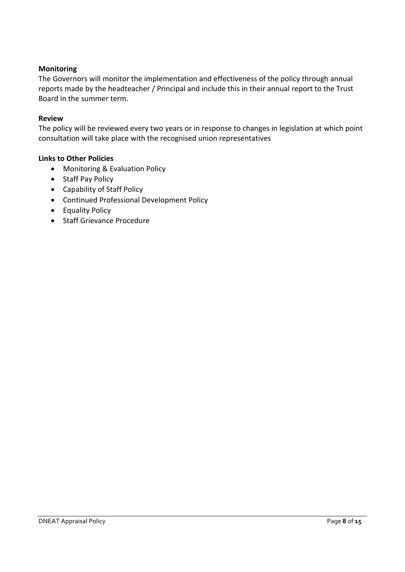#### **Monitoring**

The Governors will monitor the implementation and effectiveness of the policy through annual reports made by the headteacher / Principal and include this in their annual report to the Trust Board in the summer term.

#### **Review**

The policy will be reviewed every two years or in response to changes in legislation at which point consultation will take place with the recognised union representatives

#### **Links to Other Policies**

- Monitoring & Evaluation Policy
- Staff Pay Policy
- Capability of Staff Policy
- Continued Professional Development Policy
- Equality Policy
- Staff Grievance Procedure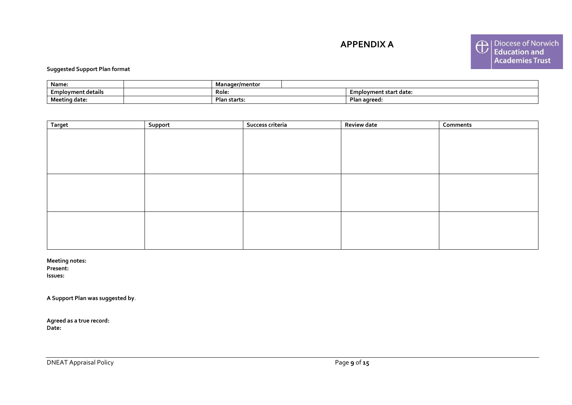**APPENDIX A**



#### **Suggested Support Plan format**

| Name:                        | ıaer/mentoı<br>זמרנ |  |                                  |
|------------------------------|---------------------|--|----------------------------------|
| Employment details           | Role:               |  | Iovment start date:<br><b>LM</b> |
| <b>B.A.</b><br>Meeting date: | Plan starts.        |  | Plan agreed:                     |

| <b>Target</b> | Support | Success criteria | <b>Review date</b> | Comments |
|---------------|---------|------------------|--------------------|----------|
|               |         |                  |                    |          |
|               |         |                  |                    |          |
|               |         |                  |                    |          |
|               |         |                  |                    |          |
|               |         |                  |                    |          |
|               |         |                  |                    |          |
|               |         |                  |                    |          |
|               |         |                  |                    |          |
|               |         |                  |                    |          |
|               |         |                  |                    |          |
|               |         |                  |                    |          |
|               |         |                  |                    |          |
|               |         |                  |                    |          |

**Meeting notes:**

**Present:** 

**Issues:** 

**A Support Plan was suggested by**.

**Agreed as a true record: Date:**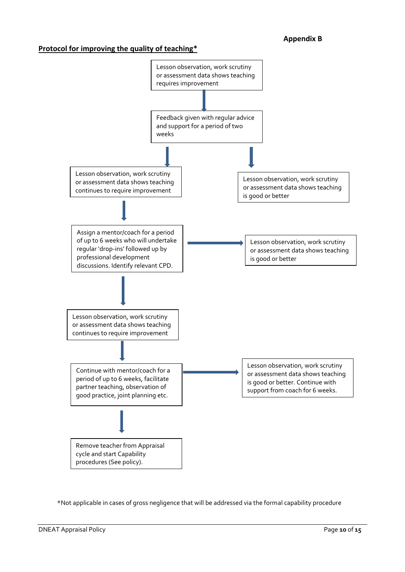#### **Protocol for improving the quality of teaching\***



\*Not applicable in cases of gross negligence that will be addressed via the formal capability procedure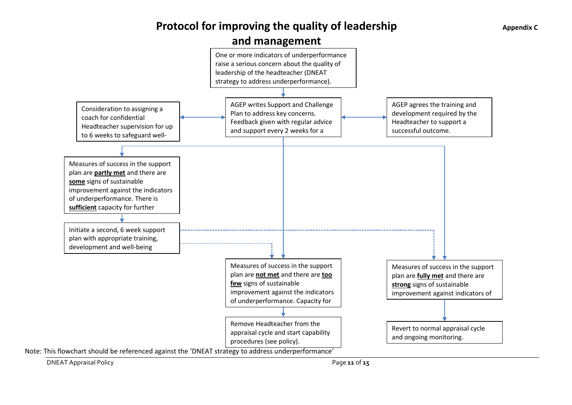# **Protocol for improving the quality of leadership**





DNEAT Appraisal Policy Page **11** of **15**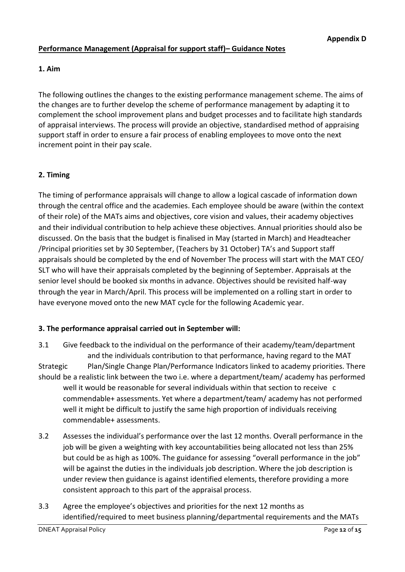# **Performance Management (Appraisal for support staff)– Guidance Notes**

**1. Aim**

The following outlines the changes to the existing performance management scheme. The aims of the changes are to further develop the scheme of performance management by adapting it to complement the school improvement plans and budget processes and to facilitate high standards of appraisal interviews. The process will provide an objective, standardised method of appraising support staff in order to ensure a fair process of enabling employees to move onto the next increment point in their pay scale.

# **2. Timing**

The timing of performance appraisals will change to allow a logical cascade of information down through the central office and the academies. Each employee should be aware (within the context of their role) of the MATs aims and objectives, core vision and values, their academy objectives and their individual contribution to help achieve these objectives. Annual priorities should also be discussed. On the basis that the budget is finalised in May (started in March) and Headteacher /Principal priorities set by 30 September, (Teachers by 31 October) TA's and Support staff appraisals should be completed by the end of November The process will start with the MAT CEO/ SLT who will have their appraisals completed by the beginning of September. Appraisals at the senior level should be booked six months in advance. Objectives should be revisited half-way through the year in March/April. This process will be implemented on a rolling start in order to have everyone moved onto the new MAT cycle for the following Academic year.

# **3. The performance appraisal carried out in September will:**

3.1 Give feedback to the individual on the performance of their academy/team/department and the individuals contribution to that performance, having regard to the MAT Strategic Plan/Single Change Plan/Performance Indicators linked to academy priorities. There should be a realistic link between the two i.e. where a department/team/ academy has performed well it would be reasonable for several individuals within that section to receive c commendable+ assessments. Yet where a department/team/ academy has not performed well it might be difficult to justify the same high proportion of individuals receiving commendable+ assessments.

- 3.2 Assesses the individual's performance over the last 12 months. Overall performance in the job will be given a weighting with key accountabilities being allocated not less than 25% but could be as high as 100%. The guidance for assessing "overall performance in the job" will be against the duties in the individuals job description. Where the job description is under review then guidance is against identified elements, therefore providing a more consistent approach to this part of the appraisal process.
- 3.3 Agree the employee's objectives and priorities for the next 12 months as identified/required to meet business planning/departmental requirements and the MATs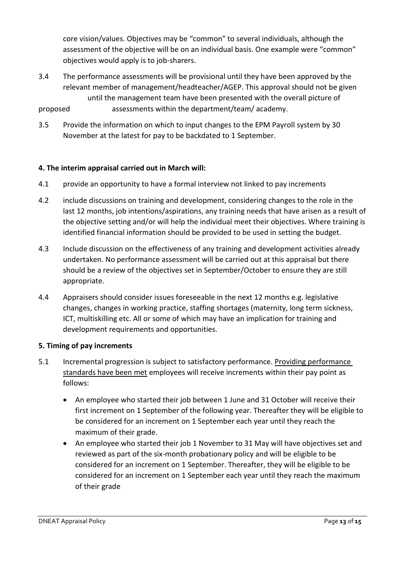core vision/values. Objectives may be "common" to several individuals, although the assessment of the objective will be on an individual basis. One example were "common" objectives would apply is to job-sharers.

- 3.4 The performance assessments will be provisional until they have been approved by the relevant member of management/headteacher/AGEP. This approval should not be given until the management team have been presented with the overall picture of proposed assessments within the department/team/ academy.
- 3.5 Provide the information on which to input changes to the EPM Payroll system by 30 November at the latest for pay to be backdated to 1 September.

# **4. The interim appraisal carried out in March will:**

- 4.1 provide an opportunity to have a formal interview not linked to pay increments
- 4.2 include discussions on training and development, considering changes to the role in the last 12 months, job intentions/aspirations, any training needs that have arisen as a result of the objective setting and/or will help the individual meet their objectives. Where training is identified financial information should be provided to be used in setting the budget.
- 4.3 Include discussion on the effectiveness of any training and development activities already undertaken. No performance assessment will be carried out at this appraisal but there should be a review of the objectives set in September/October to ensure they are still appropriate.
- 4.4 Appraisers should consider issues foreseeable in the next 12 months e.g. legislative changes, changes in working practice, staffing shortages (maternity, long term sickness, ICT, multiskilling etc. All or some of which may have an implication for training and development requirements and opportunities.

#### **5. Timing of pay increments**

- 5.1 Incremental progression is subject to satisfactory performance. Providing performance standards have been met employees will receive increments within their pay point as follows:
	- An employee who started their job between 1 June and 31 October will receive their first increment on 1 September of the following year. Thereafter they will be eligible to be considered for an increment on 1 September each year until they reach the maximum of their grade.
	- An employee who started their job 1 November to 31 May will have objectives set and reviewed as part of the six-month probationary policy and will be eligible to be considered for an increment on 1 September. Thereafter, they will be eligible to be considered for an increment on 1 September each year until they reach the maximum of their grade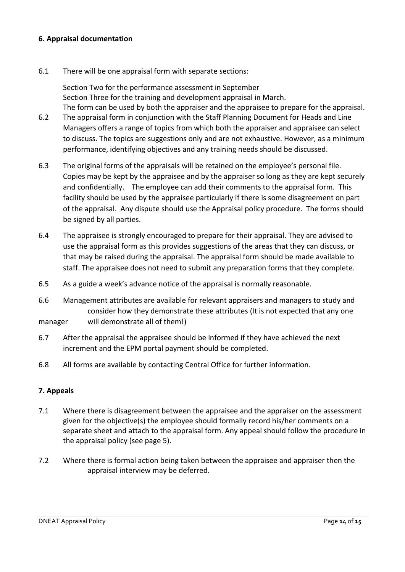#### **6. Appraisal documentation**

6.1 There will be one appraisal form with separate sections:

Section Two for the performance assessment in September Section Three for the training and development appraisal in March. The form can be used by both the appraiser and the appraisee to prepare for the appraisal.

- 6.2 The appraisal form in conjunction with the Staff Planning Document for Heads and Line Managers offers a range of topics from which both the appraiser and appraisee can select to discuss. The topics are suggestions only and are not exhaustive. However, as a minimum performance, identifying objectives and any training needs should be discussed.
- 6.3 The original forms of the appraisals will be retained on the employee's personal file. Copies may be kept by the appraisee and by the appraiser so long as they are kept securely and confidentially. The employee can add their comments to the appraisal form. This facility should be used by the appraisee particularly if there is some disagreement on part of the appraisal. Any dispute should use the Appraisal policy procedure. The forms should be signed by all parties.
- 6.4 The appraisee is strongly encouraged to prepare for their appraisal. They are advised to use the appraisal form as this provides suggestions of the areas that they can discuss, or that may be raised during the appraisal. The appraisal form should be made available to staff. The appraisee does not need to submit any preparation forms that they complete.
- 6.5 As a guide a week's advance notice of the appraisal is normally reasonable.
- 6.6 Management attributes are available for relevant appraisers and managers to study and consider how they demonstrate these attributes (It is not expected that any one
- manager will demonstrate all of them!)
- 6.7 After the appraisal the appraisee should be informed if they have achieved the next increment and the EPM portal payment should be completed.
- 6.8 All forms are available by contacting Central Office for further information.

# **7. Appeals**

- 7.1 Where there is disagreement between the appraisee and the appraiser on the assessment given for the objective(s) the employee should formally record his/her comments on a separate sheet and attach to the appraisal form. Any appeal should follow the procedure in the appraisal policy (see page 5).
- 7.2 Where there is formal action being taken between the appraisee and appraiser then the appraisal interview may be deferred.